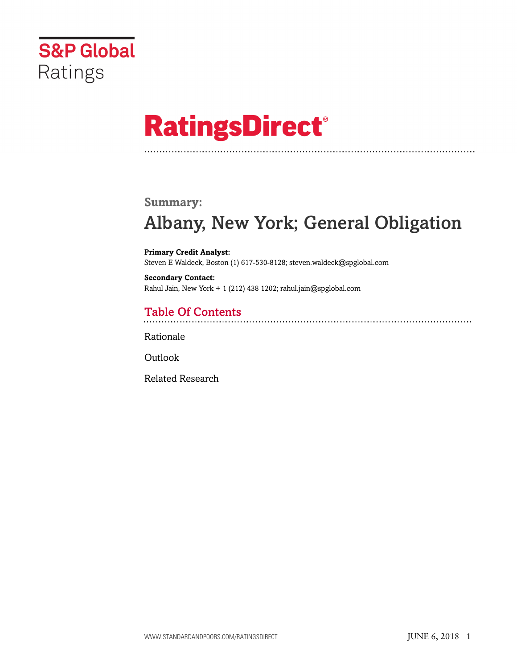

# **RatingsDirect®**

### **Summary:**

# Albany, New York; General Obligation

**Primary Credit Analyst:** Steven E Waldeck, Boston (1) 617-530-8128; steven.waldeck@spglobal.com

**Secondary Contact:** Rahul Jain, New York + 1 (212) 438 1202; rahul.jain@spglobal.com

# Table Of Contents

[Rationale](#page-1-0)

**[Outlook](#page-5-0)** 

[Related Research](#page-5-1)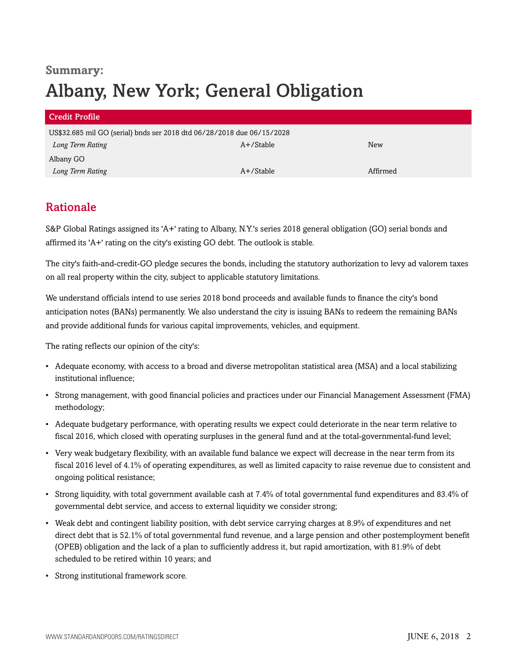# **Summary:** Albany, New York; General Obligation

| Credit Profile                                                         |              |          |  |  |
|------------------------------------------------------------------------|--------------|----------|--|--|
| US\$32.685 mil GO (serial) bnds ser 2018 dtd 06/28/2018 due 06/15/2028 |              |          |  |  |
| Long Term Rating                                                       | A+/Stable    | New      |  |  |
| Albany GO                                                              |              |          |  |  |
| Long Term Rating                                                       | $A+$ /Stable | Affirmed |  |  |

## <span id="page-1-0"></span>Rationale

S&P Global Ratings assigned its 'A+' rating to Albany, N.Y.'s series 2018 general obligation (GO) serial bonds and affirmed its 'A+' rating on the city's existing GO debt. The outlook is stable.

The city's faith-and-credit-GO pledge secures the bonds, including the statutory authorization to levy ad valorem taxes on all real property within the city, subject to applicable statutory limitations.

We understand officials intend to use series 2018 bond proceeds and available funds to finance the city's bond anticipation notes (BANs) permanently. We also understand the city is issuing BANs to redeem the remaining BANs and provide additional funds for various capital improvements, vehicles, and equipment.

The rating reflects our opinion of the city's:

- Adequate economy, with access to a broad and diverse metropolitan statistical area (MSA) and a local stabilizing institutional influence;
- Strong management, with good financial policies and practices under our Financial Management Assessment (FMA) methodology;
- Adequate budgetary performance, with operating results we expect could deteriorate in the near term relative to fiscal 2016, which closed with operating surpluses in the general fund and at the total-governmental-fund level;
- Very weak budgetary flexibility, with an available fund balance we expect will decrease in the near term from its fiscal 2016 level of 4.1% of operating expenditures, as well as limited capacity to raise revenue due to consistent and ongoing political resistance;
- Strong liquidity, with total government available cash at 7.4% of total governmental fund expenditures and 83.4% of governmental debt service, and access to external liquidity we consider strong;
- Weak debt and contingent liability position, with debt service carrying charges at 8.9% of expenditures and net direct debt that is 52.1% of total governmental fund revenue, and a large pension and other postemployment benefit (OPEB) obligation and the lack of a plan to sufficiently address it, but rapid amortization, with 81.9% of debt scheduled to be retired within 10 years; and
- Strong institutional framework score.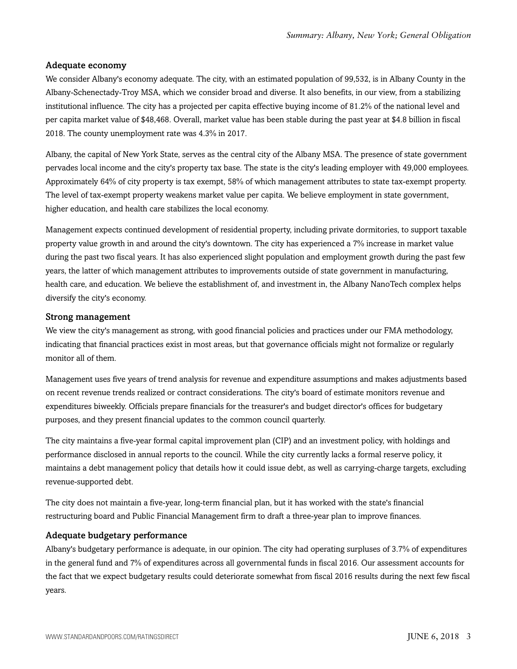#### Adequate economy

We consider Albany's economy adequate. The city, with an estimated population of 99,532, is in Albany County in the Albany-Schenectady-Troy MSA, which we consider broad and diverse. It also benefits, in our view, from a stabilizing institutional influence. The city has a projected per capita effective buying income of 81.2% of the national level and per capita market value of \$48,468. Overall, market value has been stable during the past year at \$4.8 billion in fiscal 2018. The county unemployment rate was 4.3% in 2017.

Albany, the capital of New York State, serves as the central city of the Albany MSA. The presence of state government pervades local income and the city's property tax base. The state is the city's leading employer with 49,000 employees. Approximately 64% of city property is tax exempt, 58% of which management attributes to state tax-exempt property. The level of tax-exempt property weakens market value per capita. We believe employment in state government, higher education, and health care stabilizes the local economy.

Management expects continued development of residential property, including private dormitories, to support taxable property value growth in and around the city's downtown. The city has experienced a 7% increase in market value during the past two fiscal years. It has also experienced slight population and employment growth during the past few years, the latter of which management attributes to improvements outside of state government in manufacturing, health care, and education. We believe the establishment of, and investment in, the Albany NanoTech complex helps diversify the city's economy.

#### Strong management

We view the city's management as strong, with good financial policies and practices under our FMA methodology, indicating that financial practices exist in most areas, but that governance officials might not formalize or regularly monitor all of them.

Management uses five years of trend analysis for revenue and expenditure assumptions and makes adjustments based on recent revenue trends realized or contract considerations. The city's board of estimate monitors revenue and expenditures biweekly. Officials prepare financials for the treasurer's and budget director's offices for budgetary purposes, and they present financial updates to the common council quarterly.

The city maintains a five-year formal capital improvement plan (CIP) and an investment policy, with holdings and performance disclosed in annual reports to the council. While the city currently lacks a formal reserve policy, it maintains a debt management policy that details how it could issue debt, as well as carrying-charge targets, excluding revenue-supported debt.

The city does not maintain a five-year, long-term financial plan, but it has worked with the state's financial restructuring board and Public Financial Management firm to draft a three-year plan to improve finances.

#### Adequate budgetary performance

Albany's budgetary performance is adequate, in our opinion. The city had operating surpluses of 3.7% of expenditures in the general fund and 7% of expenditures across all governmental funds in fiscal 2016. Our assessment accounts for the fact that we expect budgetary results could deteriorate somewhat from fiscal 2016 results during the next few fiscal years.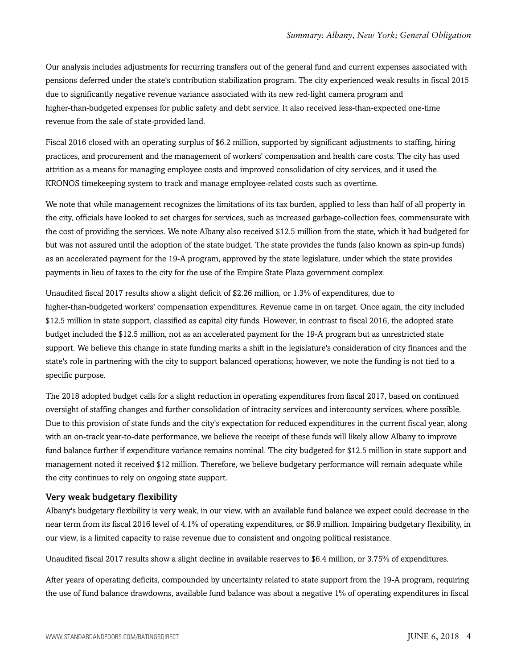Our analysis includes adjustments for recurring transfers out of the general fund and current expenses associated with pensions deferred under the state's contribution stabilization program. The city experienced weak results in fiscal 2015 due to significantly negative revenue variance associated with its new red-light camera program and higher-than-budgeted expenses for public safety and debt service. It also received less-than-expected one-time revenue from the sale of state-provided land.

Fiscal 2016 closed with an operating surplus of \$6.2 million, supported by significant adjustments to staffing, hiring practices, and procurement and the management of workers' compensation and health care costs. The city has used attrition as a means for managing employee costs and improved consolidation of city services, and it used the KRONOS timekeeping system to track and manage employee-related costs such as overtime.

We note that while management recognizes the limitations of its tax burden, applied to less than half of all property in the city, officials have looked to set charges for services, such as increased garbage-collection fees, commensurate with the cost of providing the services. We note Albany also received \$12.5 million from the state, which it had budgeted for but was not assured until the adoption of the state budget. The state provides the funds (also known as spin-up funds) as an accelerated payment for the 19-A program, approved by the state legislature, under which the state provides payments in lieu of taxes to the city for the use of the Empire State Plaza government complex.

Unaudited fiscal 2017 results show a slight deficit of \$2.26 million, or 1.3% of expenditures, due to higher-than-budgeted workers' compensation expenditures. Revenue came in on target. Once again, the city included \$12.5 million in state support, classified as capital city funds. However, in contrast to fiscal 2016, the adopted state budget included the \$12.5 million, not as an accelerated payment for the 19-A program but as unrestricted state support. We believe this change in state funding marks a shift in the legislature's consideration of city finances and the state's role in partnering with the city to support balanced operations; however, we note the funding is not tied to a specific purpose.

The 2018 adopted budget calls for a slight reduction in operating expenditures from fiscal 2017, based on continued oversight of staffing changes and further consolidation of intracity services and intercounty services, where possible. Due to this provision of state funds and the city's expectation for reduced expenditures in the current fiscal year, along with an on-track year-to-date performance, we believe the receipt of these funds will likely allow Albany to improve fund balance further if expenditure variance remains nominal. The city budgeted for \$12.5 million in state support and management noted it received \$12 million. Therefore, we believe budgetary performance will remain adequate while the city continues to rely on ongoing state support.

#### Very weak budgetary flexibility

Albany's budgetary flexibility is very weak, in our view, with an available fund balance we expect could decrease in the near term from its fiscal 2016 level of 4.1% of operating expenditures, or \$6.9 million. Impairing budgetary flexibility, in our view, is a limited capacity to raise revenue due to consistent and ongoing political resistance.

Unaudited fiscal 2017 results show a slight decline in available reserves to \$6.4 million, or 3.75% of expenditures.

After years of operating deficits, compounded by uncertainty related to state support from the 19-A program, requiring the use of fund balance drawdowns, available fund balance was about a negative 1% of operating expenditures in fiscal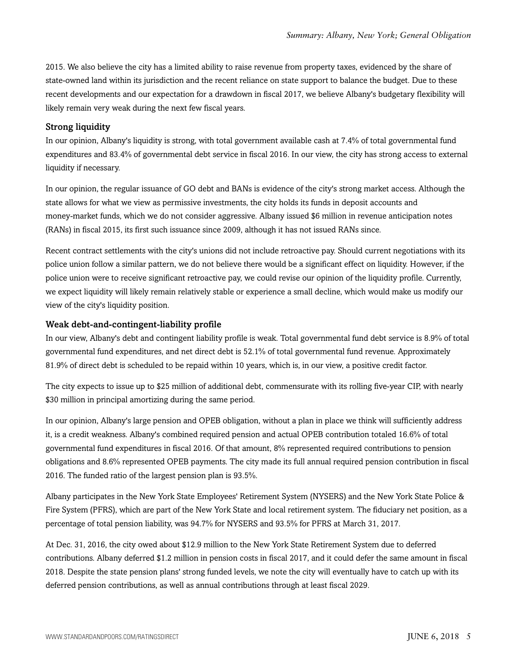2015. We also believe the city has a limited ability to raise revenue from property taxes, evidenced by the share of state-owned land within its jurisdiction and the recent reliance on state support to balance the budget. Due to these recent developments and our expectation for a drawdown in fiscal 2017, we believe Albany's budgetary flexibility will likely remain very weak during the next few fiscal years.

#### Strong liquidity

In our opinion, Albany's liquidity is strong, with total government available cash at 7.4% of total governmental fund expenditures and 83.4% of governmental debt service in fiscal 2016. In our view, the city has strong access to external liquidity if necessary.

In our opinion, the regular issuance of GO debt and BANs is evidence of the city's strong market access. Although the state allows for what we view as permissive investments, the city holds its funds in deposit accounts and money-market funds, which we do not consider aggressive. Albany issued \$6 million in revenue anticipation notes (RANs) in fiscal 2015, its first such issuance since 2009, although it has not issued RANs since.

Recent contract settlements with the city's unions did not include retroactive pay. Should current negotiations with its police union follow a similar pattern, we do not believe there would be a significant effect on liquidity. However, if the police union were to receive significant retroactive pay, we could revise our opinion of the liquidity profile. Currently, we expect liquidity will likely remain relatively stable or experience a small decline, which would make us modify our view of the city's liquidity position.

#### Weak debt-and-contingent-liability profile

In our view, Albany's debt and contingent liability profile is weak. Total governmental fund debt service is 8.9% of total governmental fund expenditures, and net direct debt is 52.1% of total governmental fund revenue. Approximately 81.9% of direct debt is scheduled to be repaid within 10 years, which is, in our view, a positive credit factor.

The city expects to issue up to \$25 million of additional debt, commensurate with its rolling five-year CIP, with nearly \$30 million in principal amortizing during the same period.

In our opinion, Albany's large pension and OPEB obligation, without a plan in place we think will sufficiently address it, is a credit weakness. Albany's combined required pension and actual OPEB contribution totaled 16.6% of total governmental fund expenditures in fiscal 2016. Of that amount, 8% represented required contributions to pension obligations and 8.6% represented OPEB payments. The city made its full annual required pension contribution in fiscal 2016. The funded ratio of the largest pension plan is 93.5%.

Albany participates in the New York State Employees' Retirement System (NYSERS) and the New York State Police & Fire System (PFRS), which are part of the New York State and local retirement system. The fiduciary net position, as a percentage of total pension liability, was 94.7% for NYSERS and 93.5% for PFRS at March 31, 2017.

At Dec. 31, 2016, the city owed about \$12.9 million to the New York State Retirement System due to deferred contributions. Albany deferred \$1.2 million in pension costs in fiscal 2017, and it could defer the same amount in fiscal 2018. Despite the state pension plans' strong funded levels, we note the city will eventually have to catch up with its deferred pension contributions, as well as annual contributions through at least fiscal 2029.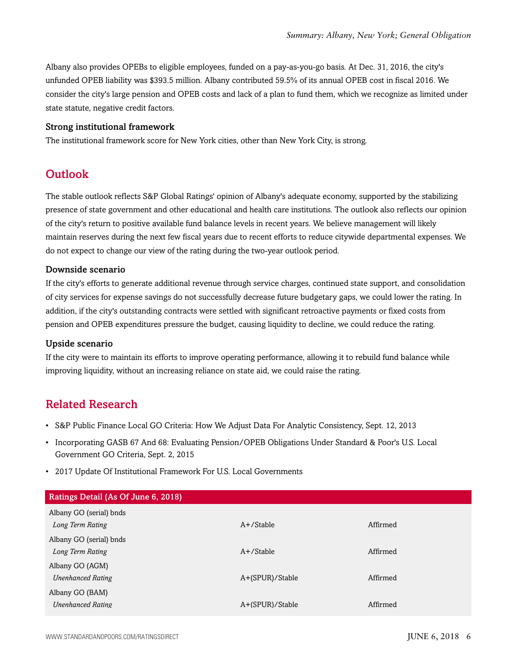Albany also provides OPEBs to eligible employees, funded on a pay-as-you-go basis. At Dec. 31, 2016, the city's unfunded OPEB liability was \$393.5 million. Albany contributed 59.5% of its annual OPEB cost in fiscal 2016. We consider the city's large pension and OPEB costs and lack of a plan to fund them, which we recognize as limited under state statute, negative credit factors.

#### Strong institutional framework

<span id="page-5-0"></span>The institutional framework score for New York cities, other than New York City, is strong.

# Outlook

The stable outlook reflects S&P Global Ratings' opinion of Albany's adequate economy, supported by the stabilizing presence of state government and other educational and health care institutions. The outlook also reflects our opinion of the city's return to positive available fund balance levels in recent years. We believe management will likely maintain reserves during the next few fiscal years due to recent efforts to reduce citywide departmental expenses. We do not expect to change our view of the rating during the two-year outlook period.

#### Downside scenario

If the city's efforts to generate additional revenue through service charges, continued state support, and consolidation of city services for expense savings do not successfully decrease future budgetary gaps, we could lower the rating. In addition, if the city's outstanding contracts were settled with significant retroactive payments or fixed costs from pension and OPEB expenditures pressure the budget, causing liquidity to decline, we could reduce the rating.

#### Upside scenario

If the city were to maintain its efforts to improve operating performance, allowing it to rebuild fund balance while improving liquidity, without an increasing reliance on state aid, we could raise the rating.

## <span id="page-5-1"></span>Related Research

- S&P Public Finance Local GO Criteria: How We Adjust Data For Analytic Consistency, Sept. 12, 2013
- Incorporating GASB 67 And 68: Evaluating Pension/OPEB Obligations Under Standard & Poor's U.S. Local Government GO Criteria, Sept. 2, 2015
- 2017 Update Of Institutional Framework For U.S. Local Governments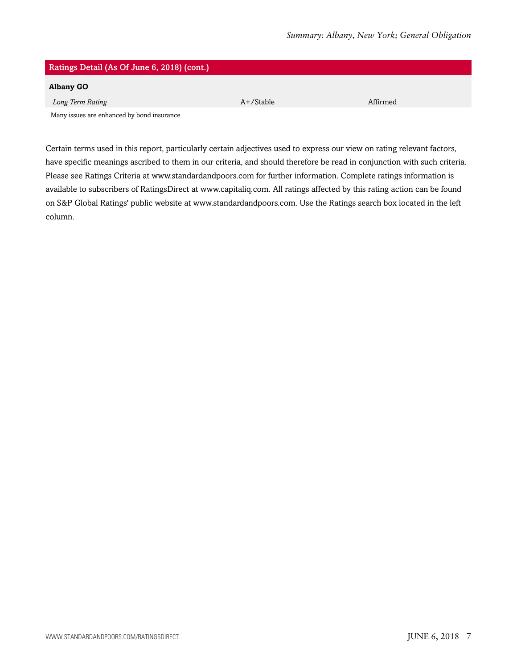| Ratings Detail (As Of June 6, 2018) (cont.) |           |          |  |
|---------------------------------------------|-----------|----------|--|
| <b>Albany GO</b>                            |           |          |  |
| Long Term Rating                            | A+/Stable | Affirmed |  |
| Many issues are enhanced by bond insurance. |           |          |  |

Certain terms used in this report, particularly certain adjectives used to express our view on rating relevant factors, have specific meanings ascribed to them in our criteria, and should therefore be read in conjunction with such criteria. Please see Ratings Criteria at www.standardandpoors.com for further information. Complete ratings information is available to subscribers of RatingsDirect at www.capitaliq.com. All ratings affected by this rating action can be found on S&P Global Ratings' public website at www.standardandpoors.com. Use the Ratings search box located in the left column.